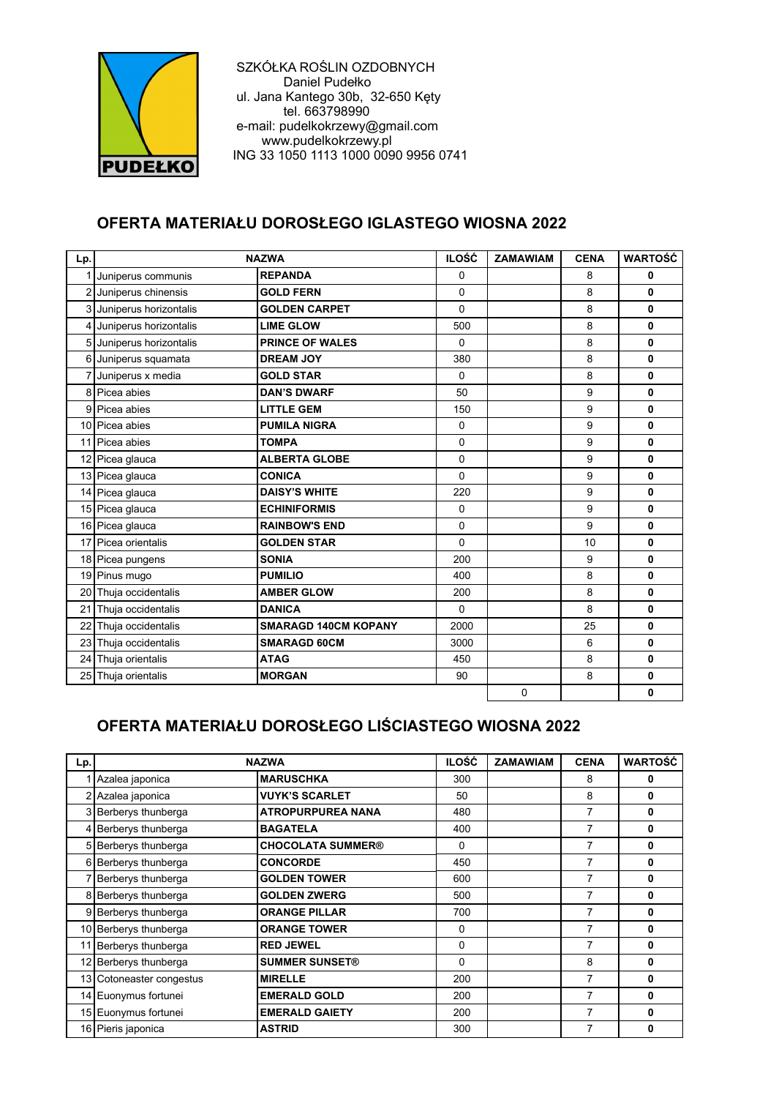

 SZKÓŁKA ROŚLIN OZDOBNYCH Daniel Pudełko ul. Jana Kantego 30b, 32-650 Kęty tel. 663798990 e-mail: pudelkokrzewy@gmail.com www.pudelkokrzewy.pl ING 33 1050 1113 1000 0090 9956 0741

## **OFERTA MATERIAŁU DOROSŁEGO IGLASTEGO WIOSNA 2022**

| Lp.            | <b>NAZWA</b>             |                             | <b>ILOŚĆ</b> | <b>ZAMAWIAM</b> | <b>CENA</b> | <b>WARTOŚĆ</b> |
|----------------|--------------------------|-----------------------------|--------------|-----------------|-------------|----------------|
| 1              | Juniperus communis       | <b>REPANDA</b>              | 0            |                 | 8           | 0              |
| $\overline{2}$ | Juniperus chinensis      | <b>GOLD FERN</b>            | $\Omega$     |                 | 8           | 0              |
|                | 3 Juniperus horizontalis | <b>GOLDEN CARPET</b>        | $\Omega$     |                 | 8           | 0              |
| 4              | Juniperus horizontalis   | <b>LIME GLOW</b>            | 500          |                 | 8           | 0              |
|                | 5 Juniperus horizontalis | <b>PRINCE OF WALES</b>      | $\Omega$     |                 | 8           | 0              |
| 6              | Juniperus squamata       | <b>DREAM JOY</b>            | 380          |                 | 8           | 0              |
|                | 7 Juniperus x media      | <b>GOLD STAR</b>            | $\Omega$     |                 | 8           | 0              |
|                | 8 Picea abies            | <b>DAN'S DWARF</b>          | 50           |                 | 9           | 0              |
| 9              | Picea abies              | <b>LITTLE GEM</b>           | 150          |                 | 9           | 0              |
|                | 10 Picea abies           | <b>PUMILA NIGRA</b>         | $\mathbf 0$  |                 | 9           | 0              |
|                | 11 Picea abies           | <b>TOMPA</b>                | 0            |                 | 9           | 0              |
|                | 12 Picea glauca          | <b>ALBERTA GLOBE</b>        | $\Omega$     |                 | 9           | 0              |
|                | 13 Picea glauca          | <b>CONICA</b>               | $\Omega$     |                 | 9           | 0              |
|                | 14 Picea glauca          | <b>DAISY'S WHITE</b>        | 220          |                 | 9           | 0              |
|                | 15 Picea glauca          | <b>ECHINIFORMIS</b>         | 0            |                 | 9           | 0              |
|                | 16 Picea glauca          | <b>RAINBOW'S END</b>        | $\Omega$     |                 | 9           | 0              |
|                | 17 Picea orientalis      | <b>GOLDEN STAR</b>          | $\Omega$     |                 | 10          | $\mathbf{0}$   |
|                | 18 Picea pungens         | <b>SONIA</b>                | 200          |                 | 9           | 0              |
|                | 19 Pinus mugo            | <b>PUMILIO</b>              | 400          |                 | 8           | 0              |
|                | 20 Thuja occidentalis    | <b>AMBER GLOW</b>           | 200          |                 | 8           | 0              |
| 21             | Thuja occidentalis       | <b>DANICA</b>               | $\Omega$     |                 | 8           | $\mathbf{0}$   |
| 22             | Thuja occidentalis       | <b>SMARAGD 140CM KOPANY</b> | 2000         |                 | 25          | 0              |
|                | 23 Thuja occidentalis    | <b>SMARAGD 60CM</b>         | 3000         |                 | 6           | 0              |
| 24             | Thuja orientalis         | <b>ATAG</b>                 | 450          |                 | 8           | $\mathbf{0}$   |
|                | 25 Thuja orientalis      | <b>MORGAN</b>               | 90           |                 | 8           | 0              |
|                |                          |                             |              | $\mathbf 0$     |             | 0              |

## **OFERTA MATERIAŁU DOROSŁEGO LIŚCIASTEGO WIOSNA 2022**

| Lp. | <b>NAZWA</b>             |                          | <b>ILOŚĆ</b> | <b>ZAMAWIAM</b> | <b>CENA</b>    | <b>WARTOŚĆ</b> |
|-----|--------------------------|--------------------------|--------------|-----------------|----------------|----------------|
|     | Azalea japonica          | <b>MARUSCHKA</b>         | 300          |                 | 8              | 0              |
|     | 2 Azalea japonica        | <b>VUYK'S SCARLET</b>    | 50           |                 | 8              | 0              |
| 3   | Berberys thunberga       | <b>ATROPURPUREA NANA</b> | 480          |                 | 7              | $\bf{0}$       |
|     | 4 Berberys thunberga     | <b>BAGATELA</b>          | 400          |                 | 7              | $\bf{0}$       |
|     | 5 Berberys thunberga     | <b>CHOCOLATA SUMMER®</b> | $\Omega$     |                 | 7              | 0              |
| 6   | Berberys thunberga       | <b>CONCORDE</b>          | 450          |                 | 7              | 0              |
|     | Berberys thunberga       | <b>GOLDEN TOWER</b>      | 600          |                 | 7              | $\bf{0}$       |
|     | 8 Berberys thunberga     | <b>GOLDEN ZWERG</b>      | 500          |                 | 7              | 0              |
| 9   | Berberys thunberga       | <b>ORANGE PILLAR</b>     | 700          |                 | 7              | 0              |
|     | 10 Berberys thunberga    | <b>ORANGE TOWER</b>      | $\Omega$     |                 | 7              | $\bf{0}$       |
|     | 11 Berberys thunberga    | <b>RED JEWEL</b>         | $\Omega$     |                 | 7              | 0              |
|     | 12 Berberys thunberga    | <b>SUMMER SUNSET®</b>    | $\Omega$     |                 | 8              | $\mathbf{0}$   |
|     | 13 Cotoneaster congestus | <b>MIRELLE</b>           | 200          |                 | $\overline{7}$ | $\bf{0}$       |
|     | 14 Euonymus fortunei     | <b>EMERALD GOLD</b>      | 200          |                 | 7              | 0              |
|     | 15 Euonymus fortunei     | <b>EMERALD GAIETY</b>    | 200          |                 | 7              | 0              |
|     | 16 Pieris japonica       | <b>ASTRID</b>            | 300          |                 | $\overline{7}$ | 0              |